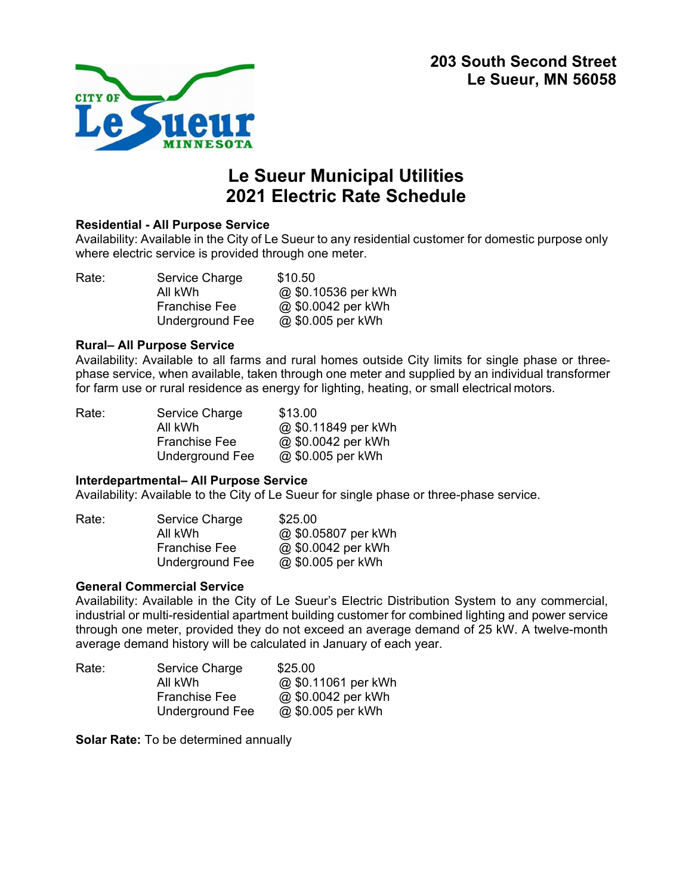

# **Le Sueur Municipal Utilities 2021 Electric Rate Schedule**

### **Residential - All Purpose Service**

Availability: Available in the City of Le Sueur to any residential customer for domestic purpose only where electric service is provided through one meter.

| Rate: | Service Charge       | \$10.50             |
|-------|----------------------|---------------------|
|       | All kWh              | @ \$0.10536 per kWh |
|       | <b>Franchise Fee</b> | @ \$0.0042 per kWh  |
|       | Underground Fee      | @ \$0.005 per kWh   |

#### **Rural– All Purpose Service**

Availability: Available to all farms and rural homes outside City limits for single phase or threephase service, when available, taken through one meter and supplied by an individual transformer for farm use or rural residence as energy for lighting, heating, or small electrical motors.

| Service Charge       | \$13.00            |
|----------------------|--------------------|
| All kWh              | @\$0.11849 per kWh |
| <b>Franchise Fee</b> | @ \$0.0042 per kWh |
| Underground Fee      | @ \$0.005 per kWh  |
|                      |                    |

## **Interdepartmental– All Purpose Service**

Availability: Available to the City of Le Sueur for single phase or three-phase service.

| Rate: | Service Charge       | \$25.00            |
|-------|----------------------|--------------------|
|       | All kWh              | @\$0.05807 per kWh |
|       | <b>Franchise Fee</b> | @ \$0.0042 per kWh |
|       | Underground Fee      | @ \$0.005 per kWh  |

## **General Commercial Service**

Availability: Available in the City of Le Sueur's Electric Distribution System to any commercial, industrial or multi-residential apartment building customer for combined lighting and power service through one meter, provided they do not exceed an average demand of 25 kW. A twelve-month average demand history will be calculated in January of each year.

| Rate: | Service Charge       | \$25.00             |
|-------|----------------------|---------------------|
|       | All kWh              | @ \$0.11061 per kWh |
|       | <b>Franchise Fee</b> | @ \$0.0042 per kWh  |
|       | Underground Fee      | @ \$0.005 per kWh   |

**Solar Rate:** To be determined annually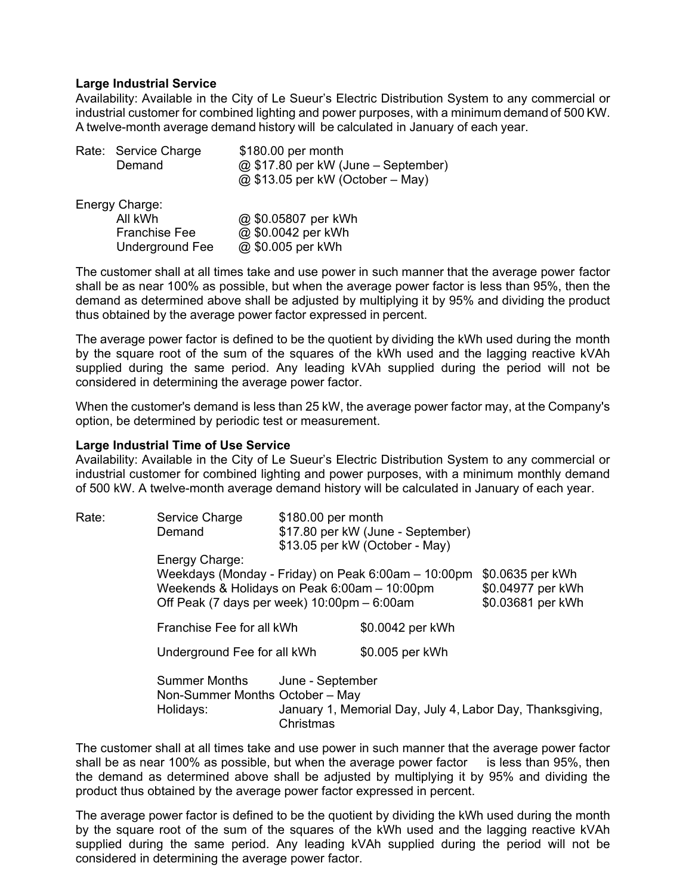### **Large Industrial Service**

Availability: Available in the City of Le Sueur's Electric Distribution System to any commercial or industrial customer for combined lighting and power purposes, with a minimum demand of 500 KW. A twelve-month average demand history will be calculated in January of each year.

| Rate: Service Charge<br>Demand | \$180.00 per month<br>@ \$17.80 per kW (June – September)<br>@ \$13.05 per kW (October – May) |
|--------------------------------|-----------------------------------------------------------------------------------------------|
| Energy Charge:                 |                                                                                               |
| All kWh                        | @ \$0.05807 per kWh                                                                           |
| <b>Franchise Fee</b>           | @ \$0.0042 per kWh                                                                            |
| <b>Underground Fee</b>         | @ \$0.005 per kWh                                                                             |

The customer shall at all times take and use power in such manner that the average power factor shall be as near 100% as possible, but when the average power factor is less than 95%, then the demand as determined above shall be adjusted by multiplying it by 95% and dividing the product thus obtained by the average power factor expressed in percent.

The average power factor is defined to be the quotient by dividing the kWh used during the month by the square root of the sum of the squares of the kWh used and the lagging reactive kVAh supplied during the same period. Any leading kVAh supplied during the period will not be considered in determining the average power factor.

When the customer's demand is less than 25 kW, the average power factor may, at the Company's option, be determined by periodic test or measurement.

#### **Large Industrial Time of Use Service**

Availability: Available in the City of Le Sueur's Electric Distribution System to any commercial or industrial customer for combined lighting and power purposes, with a minimum monthly demand of 500 kW. A twelve-month average demand history will be calculated in January of each year.

| Rate: | Service Charge                               | \$180.00 per month |                                                     |                                                           |
|-------|----------------------------------------------|--------------------|-----------------------------------------------------|-----------------------------------------------------------|
|       | Demand                                       |                    | \$17.80 per kW (June - September)                   |                                                           |
|       |                                              |                    | \$13.05 per kW (October - May)                      |                                                           |
|       | Energy Charge:                               |                    |                                                     |                                                           |
|       |                                              |                    | Weekdays (Monday - Friday) on Peak 6:00am - 10:00pm | \$0.0635 per kWh                                          |
|       | Weekends & Holidays on Peak 6:00am - 10:00pm |                    |                                                     | \$0.04977 per kWh                                         |
|       | Off Peak (7 days per week) 10:00pm - 6:00am  |                    |                                                     | \$0.03681 per kWh                                         |
|       |                                              |                    |                                                     |                                                           |
|       | Franchise Fee for all kWh                    |                    | \$0.0042 per kWh                                    |                                                           |
|       | Underground Fee for all kWh                  |                    | \$0.005 per kWh                                     |                                                           |
|       | <b>Summer Months</b>                         | June - September   |                                                     |                                                           |
|       | Non-Summer Months October - May              |                    |                                                     |                                                           |
|       |                                              |                    |                                                     |                                                           |
|       | Holidays:                                    |                    |                                                     | January 1, Memorial Day, July 4, Labor Day, Thanksgiving, |
|       |                                              | Christmas          |                                                     |                                                           |

The customer shall at all times take and use power in such manner that the average power factor shall be as near 100% as possible, but when the average power factor is less than 95%, then the demand as determined above shall be adjusted by multiplying it by 95% and dividing the product thus obtained by the average power factor expressed in percent.

The average power factor is defined to be the quotient by dividing the kWh used during the month by the square root of the sum of the squares of the kWh used and the lagging reactive kVAh supplied during the same period. Any leading kVAh supplied during the period will not be considered in determining the average power factor.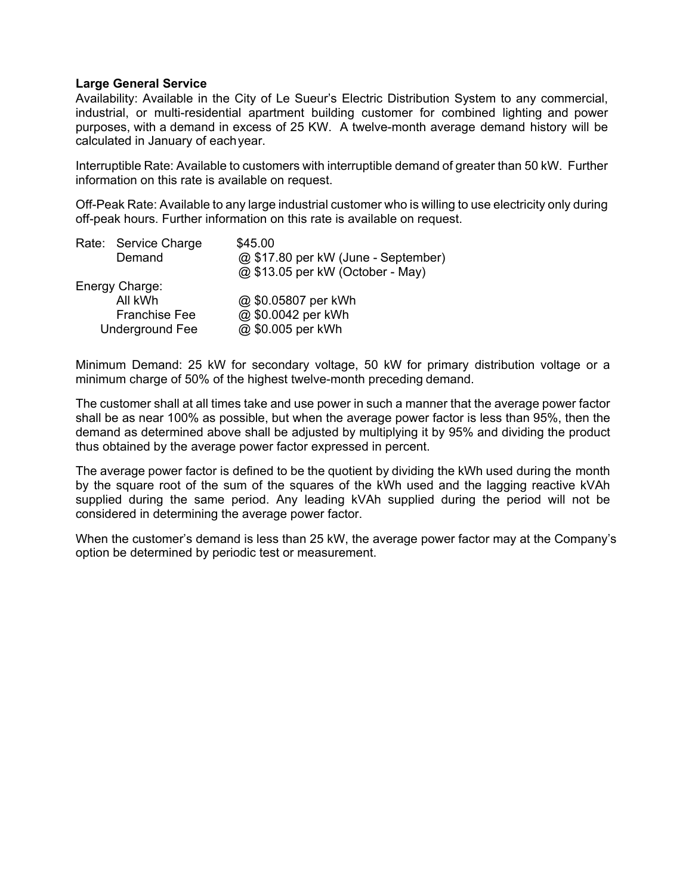### **Large General Service**

Availability: Available in the City of Le Sueur's Electric Distribution System to any commercial, industrial, or multi-residential apartment building customer for combined lighting and power purposes, with a demand in excess of 25 KW. A twelve-month average demand history will be calculated in January of each year.

Interruptible Rate: Available to customers with interruptible demand of greater than 50 kW. Further information on this rate is available on request.

Off-Peak Rate: Available to any large industrial customer who is willing to use electricity only during off-peak hours. Further information on this rate is available on request.

| Rate: Service Charge | \$45.00                             |
|----------------------|-------------------------------------|
| Demand               | @ \$17.80 per kW (June - September) |
|                      | @ \$13.05 per kW (October - May)    |
| Energy Charge:       |                                     |
| All kWh              | @ \$0.05807 per kWh                 |
| <b>Franchise Fee</b> | @ \$0.0042 per kWh                  |
| Underground Fee      | @ \$0.005 per kWh                   |
|                      |                                     |

Minimum Demand: 25 kW for secondary voltage, 50 kW for primary distribution voltage or a minimum charge of 50% of the highest twelve-month preceding demand.

The customer shall at all times take and use power in such a manner that the average power factor shall be as near 100% as possible, but when the average power factor is less than 95%, then the demand as determined above shall be adjusted by multiplying it by 95% and dividing the product thus obtained by the average power factor expressed in percent.

The average power factor is defined to be the quotient by dividing the kWh used during the month by the square root of the sum of the squares of the kWh used and the lagging reactive kVAh supplied during the same period. Any leading kVAh supplied during the period will not be considered in determining the average power factor.

When the customer's demand is less than 25 kW, the average power factor may at the Company's option be determined by periodic test or measurement.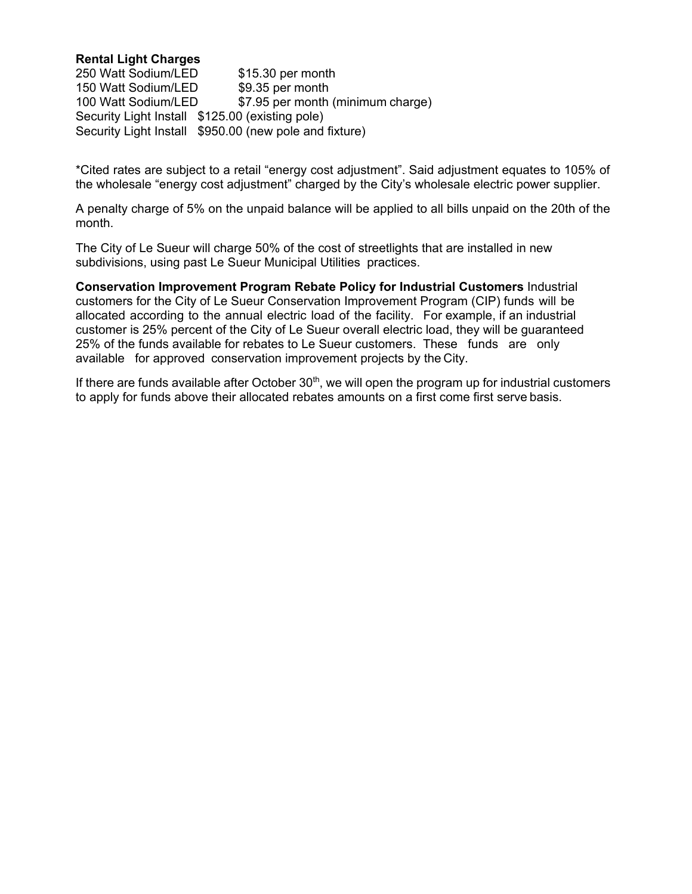## **Rental Light Charges**

250 Watt Sodium/LED \$15.30 per month 150 Watt Sodium/LED \$9.35 per month 100 Watt Sodium/LED \$7.95 per month (minimum charge) Security Light Install \$125.00 (existing pole) Security Light Install \$950.00 (new pole and fixture)

\*Cited rates are subject to a retail "energy cost adjustment". Said adjustment equates to 105% of the wholesale "energy cost adjustment" charged by the City's wholesale electric power supplier.

A penalty charge of 5% on the unpaid balance will be applied to all bills unpaid on the 20th of the month.

The City of Le Sueur will charge 50% of the cost of streetlights that are installed in new subdivisions, using past Le Sueur Municipal Utilities practices.

**Conservation Improvement Program Rebate Policy for Industrial Customers** Industrial customers for the City of Le Sueur Conservation Improvement Program (CIP) funds will be allocated according to the annual electric load of the facility. For example, if an industrial customer is 25% percent of the City of Le Sueur overall electric load, they will be guaranteed 25% of the funds available for rebates to Le Sueur customers. These funds are only available for approved conservation improvement projects by the City.

If there are funds available after October  $30<sup>th</sup>$ , we will open the program up for industrial customers to apply for funds above their allocated rebates amounts on a first come first serve basis.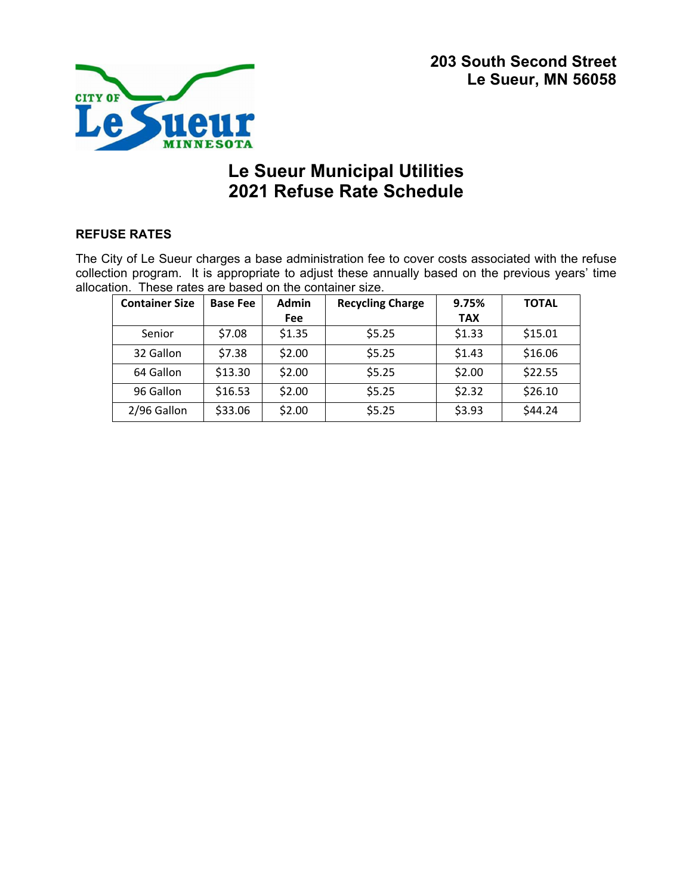

# **Le Sueur Municipal Utilities 2021 Refuse Rate Schedule**

# **REFUSE RATES**

The City of Le Sueur charges a base administration fee to cover costs associated with the refuse collection program. It is appropriate to adjust these annually based on the previous years' time allocation. These rates are based on the container size.

| <b>Container Size</b> | <b>Base Fee</b> | <b>Admin</b> | <b>Recycling Charge</b> | 9.75%      | <b>TOTAL</b> |
|-----------------------|-----------------|--------------|-------------------------|------------|--------------|
|                       |                 | <b>Fee</b>   |                         | <b>TAX</b> |              |
| Senior                | \$7.08          | \$1.35       | \$5.25                  | \$1.33     | \$15.01      |
| 32 Gallon             | \$7.38          | \$2.00       | \$5.25                  | \$1.43     | \$16.06      |
| 64 Gallon             | \$13.30         | \$2.00       | \$5.25                  | \$2.00     | \$22.55      |
| 96 Gallon             | \$16.53         | \$2.00       | \$5.25                  | \$2.32     | \$26.10      |
| 2/96 Gallon           | \$33.06         | \$2.00       | \$5.25                  | \$3.93     | \$44.24      |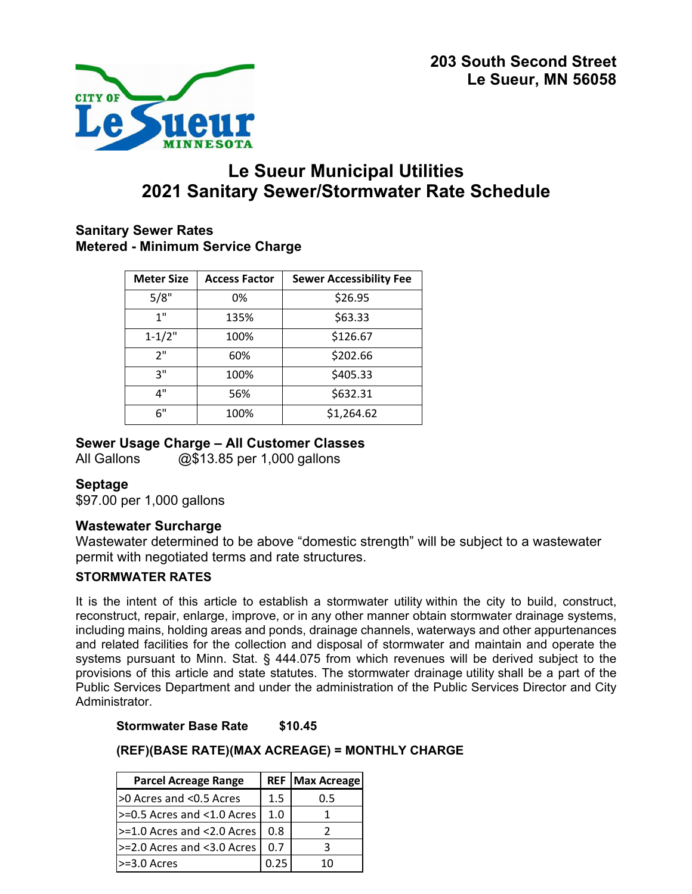

# **Le Sueur Municipal Utilities 2021 Sanitary Sewer/Stormwater Rate Schedule**

# **Sanitary Sewer Rates Metered - Minimum Service Charge**

| <b>Meter Size</b> | <b>Access Factor</b> | <b>Sewer Accessibility Fee</b> |
|-------------------|----------------------|--------------------------------|
| 5/8"              | 0%                   | \$26.95                        |
| 1"                | 135%                 | \$63.33                        |
| $1 - 1/2"$        | 100%                 | \$126.67                       |
| 2"                | 60%                  | \$202.66                       |
| २"                | 100%                 | \$405.33                       |
| 4"                | 56%                  | \$632.31                       |
| 6"                | 100%                 | \$1,264.62                     |

# **Sewer Usage Charge – All Customer Classes**

All Gallons @\$13.85 per 1,000 gallons

# **Septage**

\$97.00 per 1,000 gallons

# **Wastewater Surcharge**

Wastewater determined to be above "domestic strength" will be subject to a wastewater permit with negotiated terms and rate structures.

# **STORMWATER RATES**

It is the intent of this article to establish a stormwater utility within the city to build, construct, reconstruct, repair, enlarge, improve, or in any other manner obtain stormwater drainage systems, including mains, holding areas and ponds, drainage channels, waterways and other appurtenances and related facilities for the collection and disposal of stormwater and maintain and operate the systems pursuant to Minn. Stat. § 444.075 from which revenues will be derived subject to the provisions of this article and state statutes. The stormwater drainage utility shall be a part of the Public Services Department and under the administration of the Public Services Director and City Administrator.

**Stormwater Base Rate \$10.45** 

# **(REF)(BASE RATE)(MAX ACREAGE) = MONTHLY CHARGE**

| <b>Parcel Acreage Range</b>     |     | <b>REF   Max Acreage</b> |
|---------------------------------|-----|--------------------------|
| >0 Acres and <0.5 Acres         | 1.5 | 0.5                      |
| $> = 0.5$ Acres and <1.0 Acres  | 1.0 |                          |
| $> = 1.0$ Acres and < 2.0 Acres | 0.8 |                          |
| >=2.0 Acres and <3.0 Acres      | 0.7 | ₹                        |
| $>=3.0$ Acres                   |     | 10                       |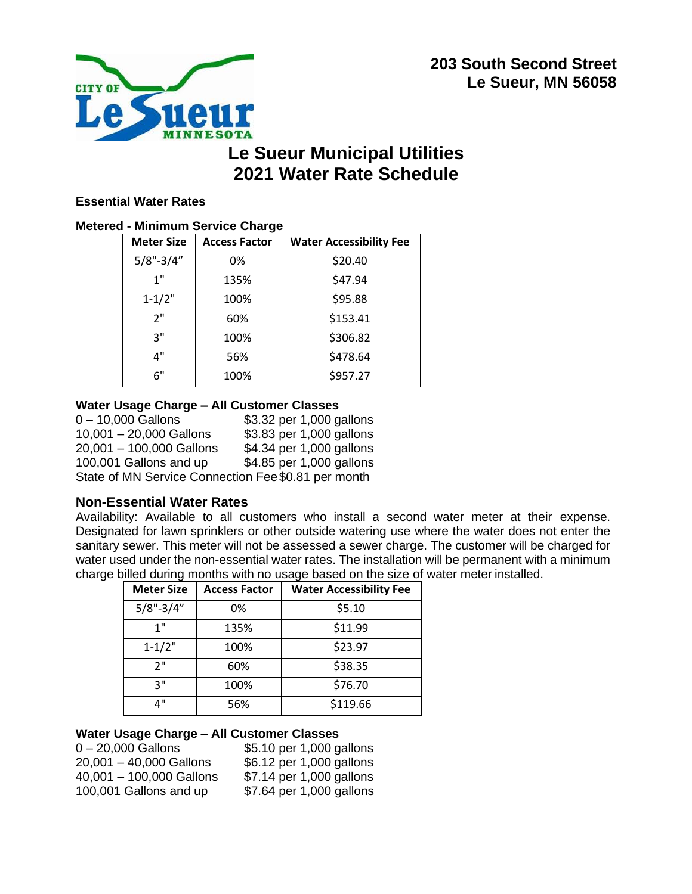



# **Le Sueur Municipal Utilities 2021 Water Rate Schedule**

## **Essential Water Rates**

### **Metered - Minimum Service Charge**

| <b>Meter Size</b> | <b>Access Factor</b> | <b>Water Accessibility Fee</b> |
|-------------------|----------------------|--------------------------------|
| $5/8" - 3/4"$     | 0%                   | \$20.40                        |
| 1"                | 135%                 | \$47.94                        |
| $1 - 1/2"$        | 100%                 | \$95.88                        |
| 2"                | 60%                  | \$153.41                       |
| ٦"                | 100%                 | \$306.82                       |
| 4"                | 56%                  | \$478.64                       |
| 6"                | 100%                 | \$957.27                       |

## **Water Usage Charge – All Customer Classes**

0 – 10,000 Gallons \$3.32 per 1,000 gallons 10,001 – 20,000 Gallons \$3.83 per 1,000 gallons 20,001 – 100,000 Gallons \$4.34 per 1,000 gallons 100,001 Gallons and up \$4.85 per 1,000 gallons State of MN Service Connection Fee\$0.81 per month

## **Non-Essential Water Rates**

Availability: Available to all customers who install a second water meter at their expense. Designated for lawn sprinklers or other outside watering use where the water does not enter the sanitary sewer. This meter will not be assessed a sewer charge. The customer will be charged for water used under the non-essential water rates. The installation will be permanent with a minimum charge billed during months with no usage based on the size of water meter installed.

| <b>Meter Size</b> | <b>Access Factor</b> | <b>Water Accessibility Fee</b> |
|-------------------|----------------------|--------------------------------|
| $5/8" - 3/4"$     | 0%                   | \$5.10                         |
| 1"                | 135%                 | \$11.99                        |
| $1 - 1/2"$        | 100%                 | \$23.97                        |
| 2"                | 60%                  | \$38.35                        |
| ٦"                | 100%                 | \$76.70                        |
| л"                | 56%                  | \$119.66                       |

## **Water Usage Charge – All Customer Classes**

0 – 20,000 Gallons \$5.10 per 1,000 gallons 20,001 – 40,000 Gallons \$6.12 per 1,000 gallons 40,001 – 100,000 Gallons \$7.14 per 1,000 gallons 100,001 Gallons and up \$7.64 per 1,000 gallons